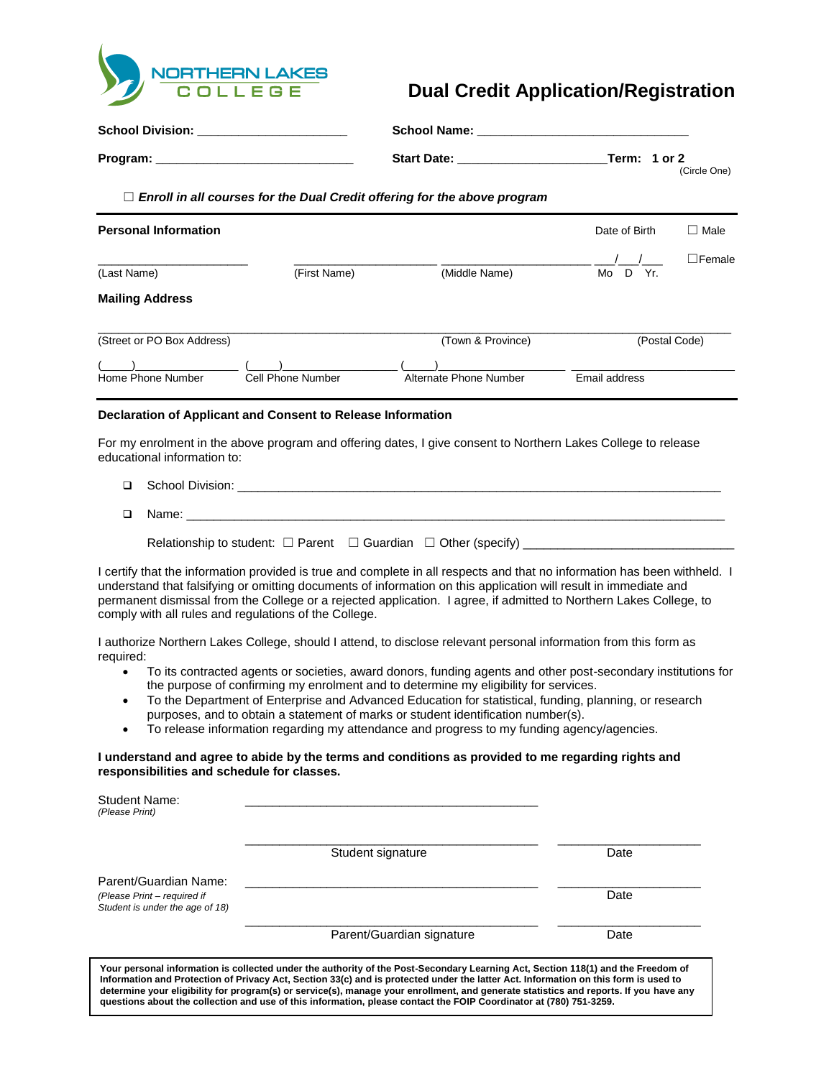

# **Dual Credit Application/Registration**

| School Division: ______________________ |                                                             |                                                                                                               |                              |  |
|-----------------------------------------|-------------------------------------------------------------|---------------------------------------------------------------------------------------------------------------|------------------------------|--|
|                                         |                                                             |                                                                                                               | (Circle One)                 |  |
|                                         |                                                             | $\Box$ Enroll in all courses for the Dual Credit offering for the above program                               |                              |  |
| <b>Personal Information</b>             |                                                             |                                                                                                               | Date of Birth<br>$\Box$ Male |  |
| (Last Name)                             | (First Name)                                                | (Middle Name)                                                                                                 | $\Box$ Female<br>Mo D Yr.    |  |
| <b>Mailing Address</b>                  |                                                             |                                                                                                               |                              |  |
| (Street or PO Box Address)              |                                                             | (Town & Province)                                                                                             | (Postal Code)                |  |
| Home Phone Number                       | Cell Phone Number                                           | Alternate Phone Number                                                                                        | Email address                |  |
|                                         | Declaration of Applicant and Consent to Release Information |                                                                                                               |                              |  |
| educational information to:             |                                                             | For my enrolment in the above program and offering dates, I give consent to Northern Lakes College to release |                              |  |
| □                                       |                                                             |                                                                                                               |                              |  |
| Name:<br>◻                              |                                                             |                                                                                                               |                              |  |

I certify that the information provided is true and complete in all respects and that no information has been withheld. I understand that falsifying or omitting documents of information on this application will result in immediate and permanent dismissal from the College or a rejected application. I agree, if admitted to Northern Lakes College, to comply with all rules and regulations of the College.

I authorize Northern Lakes College, should I attend, to disclose relevant personal information from this form as required:

- To its contracted agents or societies, award donors, funding agents and other post-secondary institutions for the purpose of confirming my enrolment and to determine my eligibility for services.
- To the Department of Enterprise and Advanced Education for statistical, funding, planning, or research purposes, and to obtain a statement of marks or student identification number(s).
- To release information regarding my attendance and progress to my funding agency/agencies.

### **I understand and agree to abide by the terms and conditions as provided to me regarding rights and responsibilities and schedule for classes.**

| Student Name:<br>(Please Print)                                                         |                                                                                                                                                                                                                                                                                                                                                                                                                                                                                                                                        |      |
|-----------------------------------------------------------------------------------------|----------------------------------------------------------------------------------------------------------------------------------------------------------------------------------------------------------------------------------------------------------------------------------------------------------------------------------------------------------------------------------------------------------------------------------------------------------------------------------------------------------------------------------------|------|
|                                                                                         | Student signature                                                                                                                                                                                                                                                                                                                                                                                                                                                                                                                      | Date |
| Parent/Guardian Name:<br>(Please Print – required if<br>Student is under the age of 18) |                                                                                                                                                                                                                                                                                                                                                                                                                                                                                                                                        | Date |
|                                                                                         | Parent/Guardian signature                                                                                                                                                                                                                                                                                                                                                                                                                                                                                                              | Date |
|                                                                                         | Your personal information is collected under the authority of the Post-Secondary Learning Act, Section 118(1) and the Freedom of<br>Information and Protection of Privacy Act, Section 33(c) and is protected under the latter Act. Information on this form is used to<br>determine your eligibility for program(s) or service(s), manage your enrollment, and generate statistics and reports. If you have any<br>questions about the collection and use of this information, please contact the FOIP Coordinator at (780) 751-3259. |      |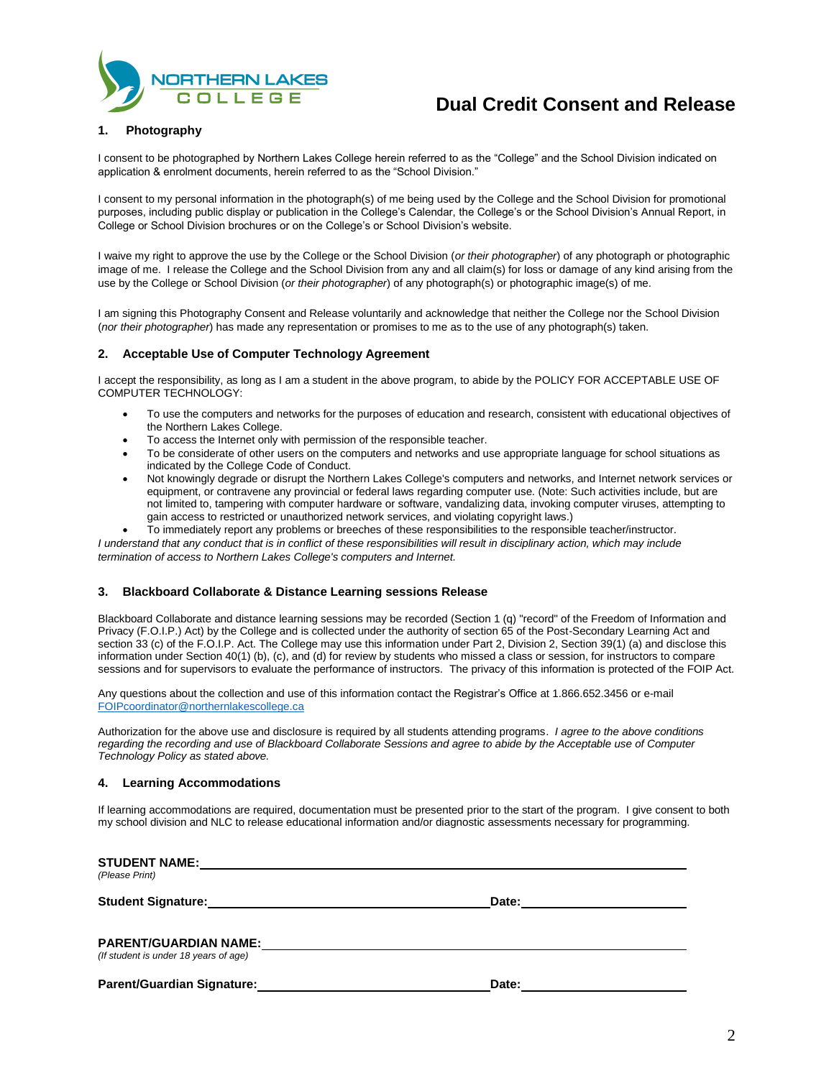

## **Dual Credit Consent and Release**

### **1. Photography**

I consent to be photographed by Northern Lakes College herein referred to as the "College" and the School Division indicated on application & enrolment documents, herein referred to as the "School Division."

I consent to my personal information in the photograph(s) of me being used by the College and the School Division for promotional purposes, including public display or publication in the College's Calendar, the College's or the School Division's Annual Report, in College or School Division brochures or on the College's or School Division's website.

I waive my right to approve the use by the College or the School Division (*or their photographer*) of any photograph or photographic image of me. I release the College and the School Division from any and all claim(s) for loss or damage of any kind arising from the use by the College or School Division (*or their photographer*) of any photograph(s) or photographic image(s) of me.

I am signing this Photography Consent and Release voluntarily and acknowledge that neither the College nor the School Division (*nor their photographer*) has made any representation or promises to me as to the use of any photograph(s) taken.

### **2. Acceptable Use of Computer Technology Agreement**

I accept the responsibility, as long as I am a student in the above program, to abide by the POLICY FOR ACCEPTABLE USE OF COMPUTER TECHNOLOGY:

- To use the computers and networks for the purposes of education and research, consistent with educational objectives of the Northern Lakes College.
- To access the Internet only with permission of the responsible teacher.
- To be considerate of other users on the computers and networks and use appropriate language for school situations as indicated by the College Code of Conduct.
- Not knowingly degrade or disrupt the Northern Lakes College's computers and networks, and Internet network services or equipment, or contravene any provincial or federal laws regarding computer use. (Note: Such activities include, but are not limited to, tampering with computer hardware or software, vandalizing data, invoking computer viruses, attempting to gain access to restricted or unauthorized network services, and violating copyright laws.)
- To immediately report any problems or breeches of these responsibilities to the responsible teacher/instructor.

*I understand that any conduct that is in conflict of these responsibilities will result in disciplinary action, which may include termination of access to Northern Lakes College's computers and Internet.*

#### **3. Blackboard Collaborate & Distance Learning sessions Release**

Blackboard Collaborate and distance learning sessions may be recorded (Section 1 (q) "record" of the Freedom of Information and Privacy (F.O.I.P.) Act) by the College and is collected under the authority of section 65 of the Post-Secondary Learning Act and section 33 (c) of the F.O.I.P. Act. The College may use this information under Part 2, Division 2, Section 39(1) (a) and disclose this information under Section 40(1) (b), (c), and (d) for review by students who missed a class or session, for instructors to compare sessions and for supervisors to evaluate the performance of instructors. The privacy of this information is protected of the FOIP Act.

Any questions about the collection and use of this information contact the Registrar's Office at 1.866.652.3456 or e-mail [FOIPcoordinator@northernlakescollege.ca](mailto:FOIPcoordinator@northernlakescollege.ca)

Authorization for the above use and disclosure is required by all students attending programs. *I agree to the above conditions regarding the recording and use of Blackboard Collaborate Sessions and agree to abide by the Acceptable use of Computer Technology Policy as stated above.*

#### **4. Learning Accommodations**

If learning accommodations are required, documentation must be presented prior to the start of the program. I give consent to both my school division and NLC to release educational information and/or diagnostic assessments necessary for programming.

| <b>STUDENT NAME:</b><br>(Please Print) |       |  |
|----------------------------------------|-------|--|
| <b>Student Signature:</b>              | Date: |  |
| <b>PARENT/GUARDIAN NAME:</b>           |       |  |
| (If student is under 18 years of age)  |       |  |
| <b>Parent/Guardian Signature:</b>      | Date: |  |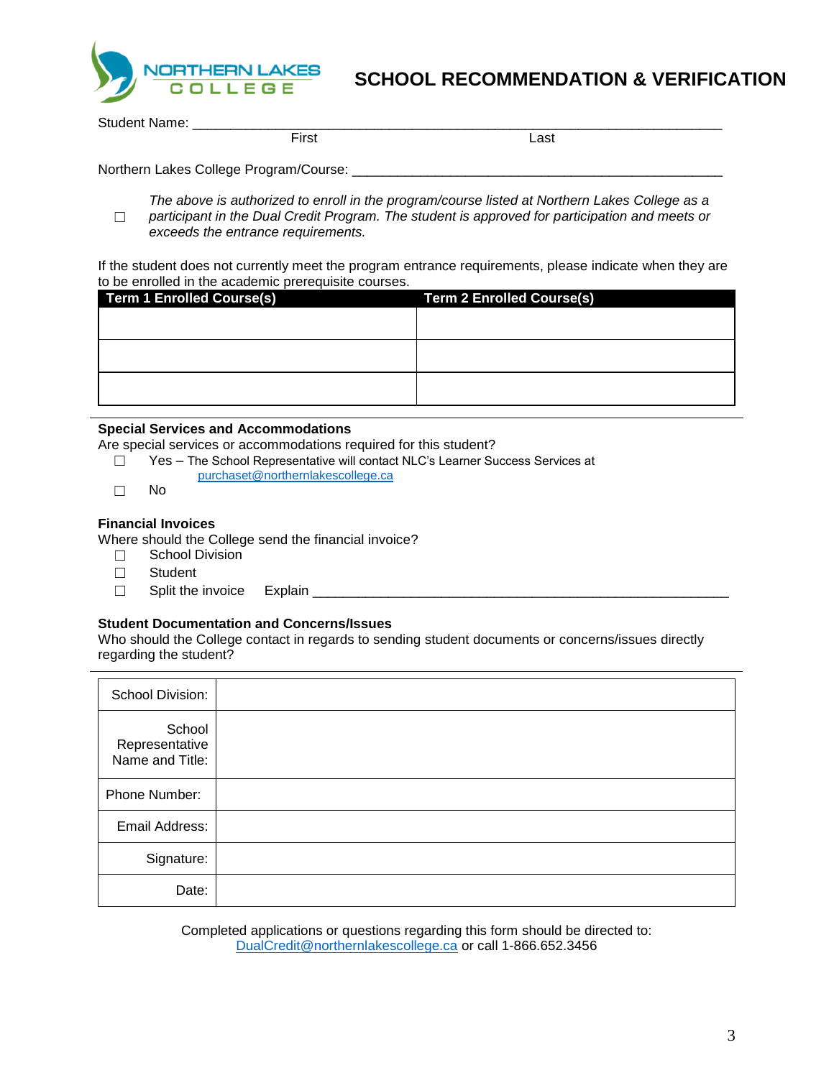

## **SCHOOL RECOMMENDATION & VERIFICATION**

Student Name: \_\_\_\_\_\_\_\_\_\_\_\_\_\_\_\_\_\_\_\_\_\_\_\_\_\_\_\_\_\_\_\_\_\_\_\_\_\_\_\_\_\_\_\_\_\_\_\_\_\_\_\_\_\_\_\_\_\_\_\_\_\_\_\_\_\_\_\_\_\_

First Last

Northern Lakes College Program/Course: \_\_\_\_\_\_\_\_\_\_\_\_\_\_\_\_\_\_\_\_\_\_\_\_\_\_\_\_\_\_\_\_\_\_\_\_\_\_\_\_\_\_\_\_\_\_\_\_\_

☐ *The above is authorized to enroll in the program/course listed at Northern Lakes College as a participant in the Dual Credit Program. The student is approved for participation and meets or exceeds the entrance requirements.*

If the student does not currently meet the program entrance requirements, please indicate when they are to be enrolled in the academic prerequisite courses.

| <b>Term 1 Enrolled Course(s)</b> | <b>Term 2 Enrolled Course(s)</b> |
|----------------------------------|----------------------------------|
|                                  |                                  |
|                                  |                                  |
|                                  |                                  |
|                                  |                                  |
|                                  |                                  |
|                                  |                                  |

### **Special Services and Accommodations**

Are special services or accommodations required for this student?

- ☐ Yes The School Representative will contact NLC's Learner Success Services at
	- [purchaset@northernlakescollege.ca](mailto:purchaset@northernlakescollege.ca)
- ☐ No

### **Financial Invoices**

Where should the College send the financial invoice?

- ☐ School Division
- ☐ Student
- $\Box$  Split the invoice Explain  $\Box$

## **Student Documentation and Concerns/Issues**

Who should the College contact in regards to sending student documents or concerns/issues directly regarding the student?

| School Division:                            |  |
|---------------------------------------------|--|
| School<br>Representative<br>Name and Title: |  |
| Phone Number:                               |  |
| Email Address:                              |  |
| Signature:                                  |  |
| Date:                                       |  |

Completed applications or questions regarding this form should be directed to: [DualCredit@northernlakescollege.ca](mailto:DualCredit@northernlakescollege.ca) or call 1-866.652.3456